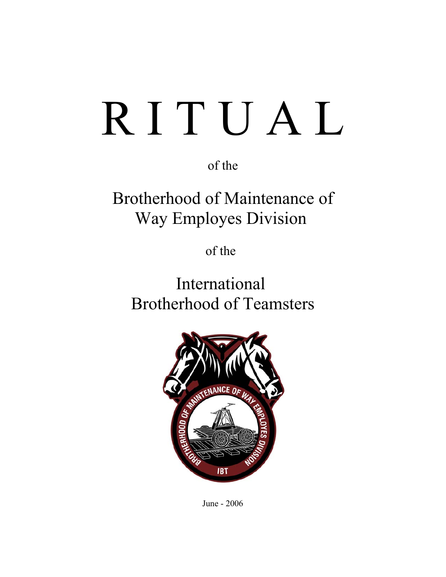# R I T U A L

of the

Brotherhood of Maintenance of Way Employes Division

of the

International Brotherhood of Teamsters



June - 2006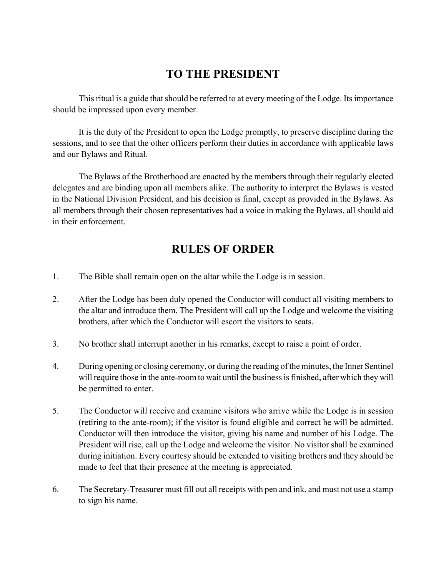## **TO THE PRESIDENT**

This ritual is a guide that should be referred to at every meeting of the Lodge. Its importance should be impressed upon every member.

It is the duty of the President to open the Lodge promptly, to preserve discipline during the sessions, and to see that the other officers perform their duties in accordance with applicable laws and our Bylaws and Ritual.

The Bylaws of the Brotherhood are enacted by the members through their regularly elected delegates and are binding upon all members alike. The authority to interpret the Bylaws is vested in the National Division President, and his decision is final, except as provided in the Bylaws. As all members through their chosen representatives had a voice in making the Bylaws, all should aid in their enforcement.

# **RULES OF ORDER**

- 1. The Bible shall remain open on the altar while the Lodge is in session.
- 2. After the Lodge has been duly opened the Conductor will conduct all visiting members to the altar and introduce them. The President will call up the Lodge and welcome the visiting brothers, after which the Conductor will escort the visitors to seats.
- 3. No brother shall interrupt another in his remarks, except to raise a point of order.
- 4. During opening or closing ceremony, or during the reading of the minutes, the Inner Sentinel will require those in the ante-room to wait until the business is finished, after which they will be permitted to enter.
- 5. The Conductor will receive and examine visitors who arrive while the Lodge is in session (retiring to the ante-room); if the visitor is found eligible and correct he will be admitted. Conductor will then introduce the visitor, giving his name and number of his Lodge. The President will rise, call up the Lodge and welcome the visitor. No visitor shall be examined during initiation. Every courtesy should be extended to visiting brothers and they should be made to feel that their presence at the meeting is appreciated.
- 6. The Secretary-Treasurer must fill out all receipts with pen and ink, and must not use a stamp to sign his name.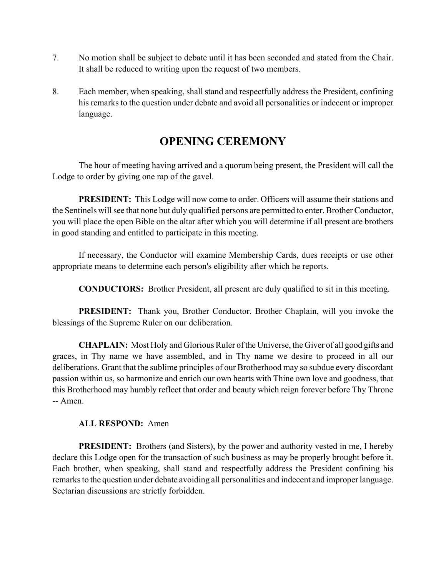- 7. No motion shall be subject to debate until it has been seconded and stated from the Chair. It shall be reduced to writing upon the request of two members.
- 8. Each member, when speaking, shall stand and respectfully address the President, confining his remarks to the question under debate and avoid all personalities or indecent or improper language.

# **OPENING CEREMONY**

The hour of meeting having arrived and a quorum being present, the President will call the Lodge to order by giving one rap of the gavel.

**PRESIDENT:** This Lodge will now come to order. Officers will assume their stations and the Sentinels will see that none but duly qualified persons are permitted to enter. Brother Conductor, you will place the open Bible on the altar after which you will determine if all present are brothers in good standing and entitled to participate in this meeting.

If necessary, the Conductor will examine Membership Cards, dues receipts or use other appropriate means to determine each person's eligibility after which he reports.

**CONDUCTORS:** Brother President, all present are duly qualified to sit in this meeting.

**PRESIDENT:** Thank you, Brother Conductor. Brother Chaplain, will you invoke the blessings of the Supreme Ruler on our deliberation.

**CHAPLAIN:** Most Holy and Glorious Ruler of the Universe, the Giver of all good gifts and graces, in Thy name we have assembled, and in Thy name we desire to proceed in all our deliberations. Grant that the sublime principles of our Brotherhood may so subdue every discordant passion within us, so harmonize and enrich our own hearts with Thine own love and goodness, that this Brotherhood may humbly reflect that order and beauty which reign forever before Thy Throne -- Amen.

#### **ALL RESPOND:** Amen

**PRESIDENT:** Brothers (and Sisters), by the power and authority vested in me, I hereby declare this Lodge open for the transaction of such business as may be properly brought before it. Each brother, when speaking, shall stand and respectfully address the President confining his remarks to the question under debate avoiding all personalities and indecent and improper language. Sectarian discussions are strictly forbidden.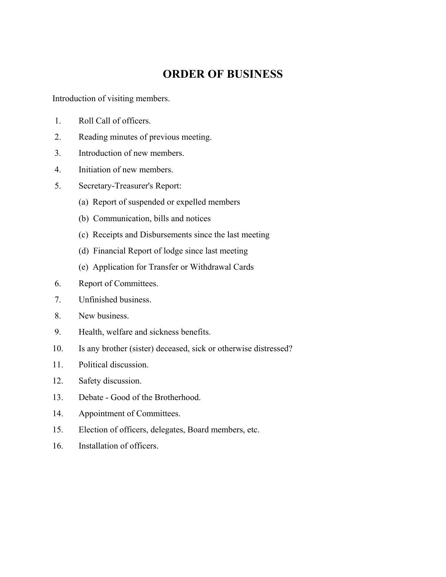## **ORDER OF BUSINESS**

Introduction of visiting members.

- 1. Roll Call of officers.
- 2. Reading minutes of previous meeting.
- 3. Introduction of new members.
- 4. Initiation of new members.
- 5. Secretary-Treasurer's Report:
	- (a) Report of suspended or expelled members
	- (b) Communication, bills and notices
	- (c) Receipts and Disbursements since the last meeting
	- (d) Financial Report of lodge since last meeting
	- (e) Application for Transfer or Withdrawal Cards
- 6. Report of Committees.
- 7. Unfinished business.
- 8. New business.
- 9. Health, welfare and sickness benefits.
- 10. Is any brother (sister) deceased, sick or otherwise distressed?
- 11. Political discussion.
- 12. Safety discussion.
- 13. Debate Good of the Brotherhood.
- 14. Appointment of Committees.
- 15. Election of officers, delegates, Board members, etc.
- 16. Installation of officers.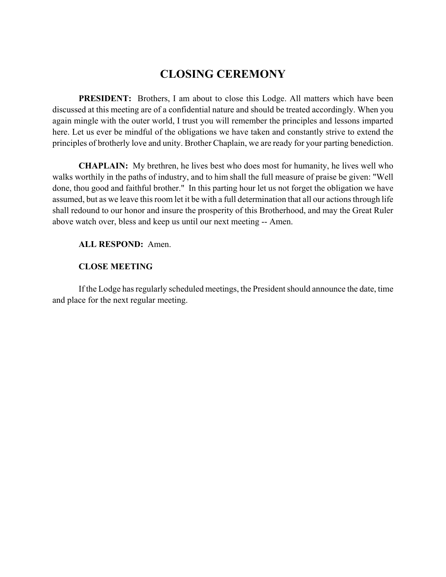## **CLOSING CEREMONY**

**PRESIDENT:** Brothers, I am about to close this Lodge. All matters which have been discussed at this meeting are of a confidential nature and should be treated accordingly. When you again mingle with the outer world, I trust you will remember the principles and lessons imparted here. Let us ever be mindful of the obligations we have taken and constantly strive to extend the principles of brotherly love and unity. Brother Chaplain, we are ready for your parting benediction.

**CHAPLAIN:** My brethren, he lives best who does most for humanity, he lives well who walks worthily in the paths of industry, and to him shall the full measure of praise be given: "Well done, thou good and faithful brother." In this parting hour let us not forget the obligation we have assumed, but as we leave this room let it be with a full determination that all our actions through life shall redound to our honor and insure the prosperity of this Brotherhood, and may the Great Ruler above watch over, bless and keep us until our next meeting -- Amen.

**ALL RESPOND:** Amen.

#### **CLOSE MEETING**

If the Lodge has regularly scheduled meetings, the President should announce the date, time and place for the next regular meeting.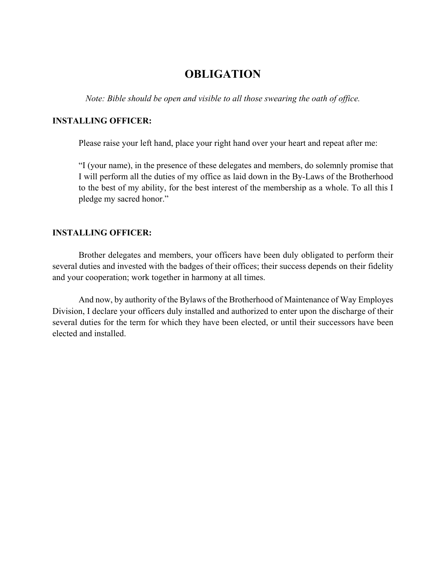## **OBLIGATION**

*Note: Bible should be open and visible to all those swearing the oath of office.*

#### **INSTALLING OFFICER:**

Please raise your left hand, place your right hand over your heart and repeat after me:

"I (your name), in the presence of these delegates and members, do solemnly promise that I will perform all the duties of my office as laid down in the By-Laws of the Brotherhood to the best of my ability, for the best interest of the membership as a whole. To all this I pledge my sacred honor."

#### **INSTALLING OFFICER:**

Brother delegates and members, your officers have been duly obligated to perform their several duties and invested with the badges of their offices; their success depends on their fidelity and your cooperation; work together in harmony at all times.

And now, by authority of the Bylaws of the Brotherhood of Maintenance of Way Employes Division, I declare your officers duly installed and authorized to enter upon the discharge of their several duties for the term for which they have been elected, or until their successors have been elected and installed.